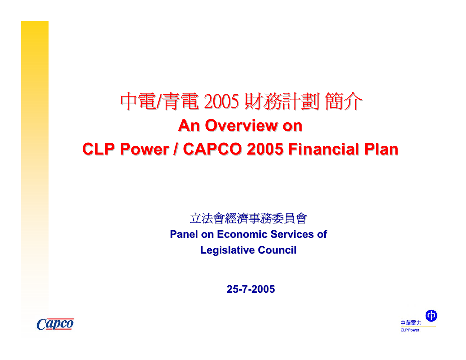# 中電/青電 2005 財務計劃 簡介 **An Overview on An Overview onCLP Power / CAPCO 2005 Financial Plan**

#### 立法會經濟事務委員會 **Panel on Economic Services of Legislative Council Legislative Council**

**25-7-2005**



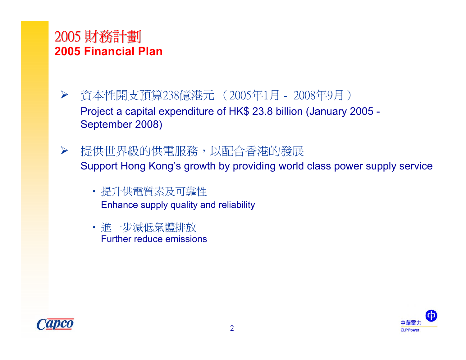## 2005 財務計劃 **2005 Financial Plan**

- $\blacktriangleright$  資本性開支預算238億港元 (2005年1月 - 2008年9月) Project a capital expenditure of HK\$ 23.8 billion (January 2005 - September 2008)
- ¾提供世界級的供電服務,以配合香港的發展 Support Hong Kong's growth by providing world class power supply service
	- 提升供電質素及可靠性 Enhance supply quality and reliability
	- 進一步減低氣體排放 Further reduce emissions



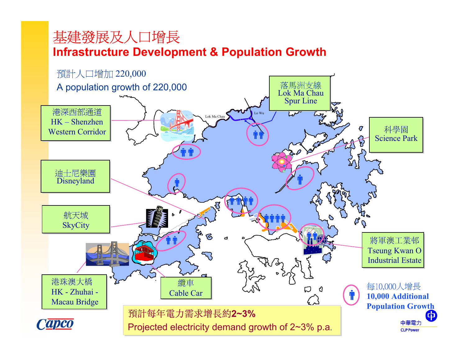## 基建發展及人口增長 **Infrastructure Development & Population Growth**

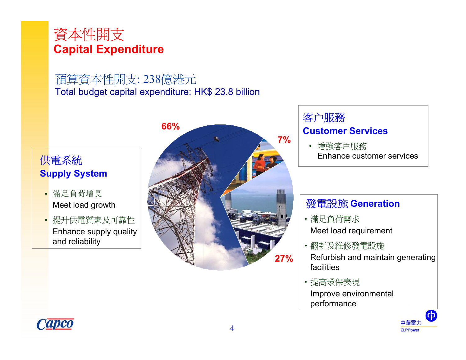

# 預算資本性開支: 238億港元

Total budget capital expenditure: HK\$ 23.8 billion

#### 供電系統 **Supply System**

- • 滿足負荷增長 Meet load growth
- 提升供電質素及可靠性 Enhance supply quality and reliability



#### 客户服務 **Customer Services**

• 增強客户服務 Enhance customer services

#### 發電設施 **Generation**

- •滿足負荷需求 Meet load requirement
- •翻新及維修發電設施 Refurbish and maintain generating facilities
- •提高環保表現 Improve environmental performance



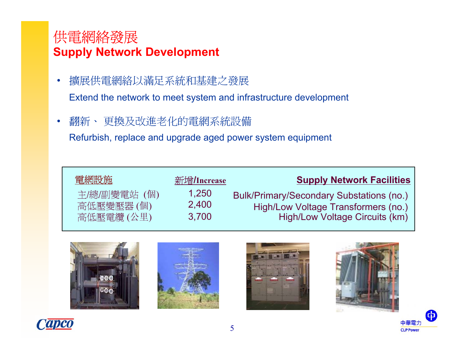### 供電網絡發展 **Supply Network Development**

- $\bullet$  擴展供電網絡以滿足系統和基建之發展 Extend the network to meet system and infrastructure development
- •翻新、 更換及改進老化的電網系統設備

Refurbish, replace and upgrade aged power system equipment

| 電網設施         | 新增/Increase | <b>Supply Network Facilities</b>         |
|--------------|-------------|------------------------------------------|
| 主/總/副變電站 (個) | 1.250       | Bulk/Primary/Secondary Substations (no.) |
| 高低壓變壓器(個)    | 2,400       | High/Low Voltage Transformers (no.)      |
| 高低壓電纜(公里)    | 3,700       | High/Low Voltage Circuits (km)           |









中華雷ナ **CLPPower** 

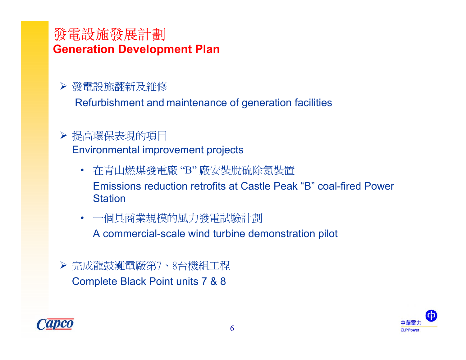#### 發電設施發展計劃 **Generation Development Plan**

#### ¾ 發電設施翻新及維修

Refurbishment and maintenance of generation facilities

#### ¾ 提高環保表現的項目 Environmental improvement projects

- 在青山燃煤發電廠 "B" 廠安裝脱硫除氮裝置 Emissions reduction retrofits at Castle Peak "B" coal-fired Power Station
- 一個具商業規模的風力發電試驗計劃

A commercial-scale wind turbine demonstration pilot

¾ 完成龍鼓灘電廠第7、8台機組工程 Complete Black Point units 7 & 8



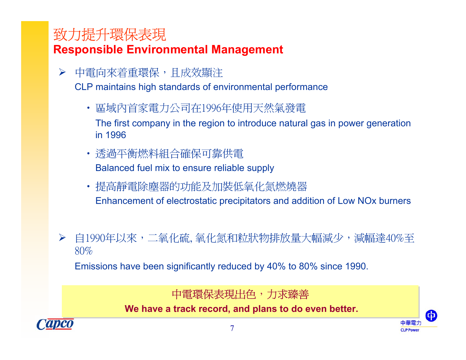# 致力提升環保表現 **Responsible Environmental Management**

¾中電向來着重環保,且成效顯注

CLP maintains high standards of environmental performance

• 區域內首家電力公司在1996年使用天然氣發電

The first company in the region to introduce natural gas in power generation in 1996

- 透過平衡燃料組合確保可靠供電 Balanced fuel mix to ensure reliable supply
- 提高靜電除塵器的功能及加裝低氧化氮燃燒器 Enhancement of electrostatic precipitators and addition of Low NOx burners
- ▶ 自1990年以來,二氧化硫,氧化氮和粒狀物排放量大幅減少,減幅達40%至 80%

Emissions have been significantly reduced by 40% to 80% since 1990.

中電環保表現出色,力求臻善 中電環保表現出色,力求臻善

**We have a track record, and plans to do even better. We have a track record, and plans to do even better.**

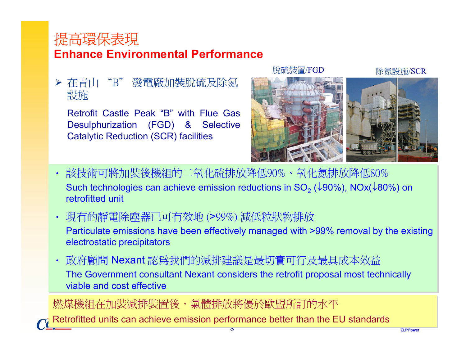## 提高環保表現 **Enhance Environmental Performance**

¾ 在青山 "B" 發電廠加裝脱硫及除氮 設施

Retrofit Castle Peak "B" with Flue Gas Desulphurization (FGD) & Selective Catalytic Reduction (SCR) facilities

#### 脫硫裝置/FGD 除氯設施/SCR



- 該技術可將加裝後機組的二氧化硫排放降低90%、氧化氮排放降低80% 該技術可將加裝後機組的二氧化硫排放降低90%、氧化氮排放降低80% Such technologies can achieve emission reductions in SO<sub>2</sub> (↓90%), NOx(↓80%) on retrofitted unit
- 現有的靜電除塵器已可有效地 (>99%) 減低粒狀物排放 現有的靜電除塵器已可有效地 (>99%) 減低粒狀物排放 Particulate emissions have been effectively managed with >99% removal by the existing Particulate emissions have been effectively managed with >99% removal by the existing electrostatic precipitators electrostatic precipitators
- • 政府顧問 Nexant 認為我們的減排建議是最切實可行及最具成本效益 政府顧問 Nexant 認為我們的減排建議是最切實可行及最具成本效益 The Government consultant Nexant considers the retrofit proposal most technically The Government consultant Nexant considers the retrofit proposal most technically viable and cost effective •

燃煤機組在加裝減排裝置後,氣體排放將優於歐盟所訂的水平 燃煤機組在加裝減排裝置後,氣體排放將優於歐盟所訂的水平

Retrofitted units can achieve emission performance better than the EU standards Retrofitted units can achieve emission performance better than the EU standards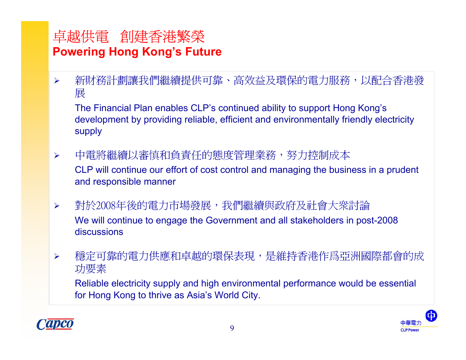# 卓越供電 創建香港繁榮 **Powering Hong Kong's Future**

¾新財務計劃讓我們繼續提供可靠、高效益及環保的電力服務,以配合香港發 展

The Financial Plan enables CLP's continued ability to support Hong Kong's development by providing reliable, efficient and environmentally friendly electricity supply

- $\blacktriangleright$  中電將繼續以審慎和負責任的態度管理業務,努力控制成本 CLP will continue our effort of cost control and managing the business in a prudent and responsible manner
- $\blacktriangleright$  對於2008年後的電力市場發展,我們繼續與政府及社會大衆討論 We will continue to engage the Government and all stakeholders in post-2008 discussions
- $\blacktriangleright$ 穩定可靠的電力供應和卓越的環保表現,是維持香港作爲亞洲國際都會的成 功要素

Reliable electricity supply and high environmental performance would be essential for Hong Kong to thrive as Asia's World City.